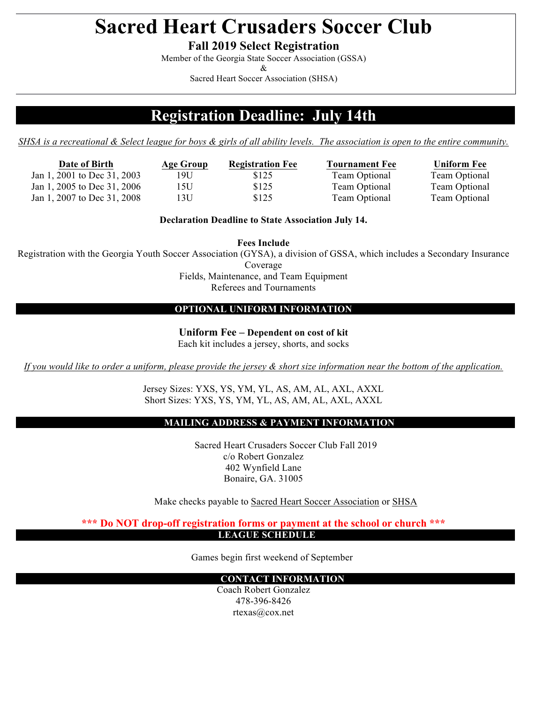# **Sacred Heart Crusaders Soccer Club**

**Fall 2019 Select Registration**

Member of the Georgia State Soccer Association (GSSA)

&

Sacred Heart Soccer Association (SHSA)

## **Registration Deadline: July 14th**

*SHSA is a recreational & Select league for boys & girls of all ability levels. The association is open to the entire community.*

| Date of Birth               |
|-----------------------------|
| Jan 1, 2001 to Dec 31, 2003 |
| Jan 1, 2005 to Dec 31, 2006 |
| Jan 1, 2007 to Dec 31, 2008 |

**Date of Birth Age Group Registration Fee Tournament Fee Uniform Fee** 19U \$125 Team Optional Team Optional 15U \$125 Team Optional Team Optional 13U \$125 Team Optional Team Optional

**Declaration Deadline to State Association July 14.** 

**Fees Include**

Registration with the Georgia Youth Soccer Association (GYSA), a division of GSSA, which includes a Secondary Insurance

Coverage

Fields, Maintenance, and Team Equipment Referees and Tournaments

### **OPTIONAL UNIFORM INFORMATION**

**Uniform Fee – Dependent on cost of kit** Each kit includes a jersey, shorts, and socks

*If you would like to order a uniform, please provide the jersey & short size information near the bottom of the application.*

Jersey Sizes: YXS, YS, YM, YL, AS, AM, AL, AXL, AXXL Short Sizes: YXS, YS, YM, YL, AS, AM, AL, AXL, AXXL

### **MAILING ADDRESS & PAYMENT INFORMATION**

Sacred Heart Crusaders Soccer Club Fall 2019 c/o Robert Gonzalez 402 Wynfield Lane Bonaire, GA. 31005

Make checks payable to Sacred Heart Soccer Association or SHSA

**\*\*\* Do NOT drop-off registration forms or payment at the school or church \*\*\* LEAGUE SCHEDULE**

Games begin first weekend of September

#### **CONTACT INFORMATION**

Coach Robert Gonzalez 478-396-8426 rtexas@cox.net